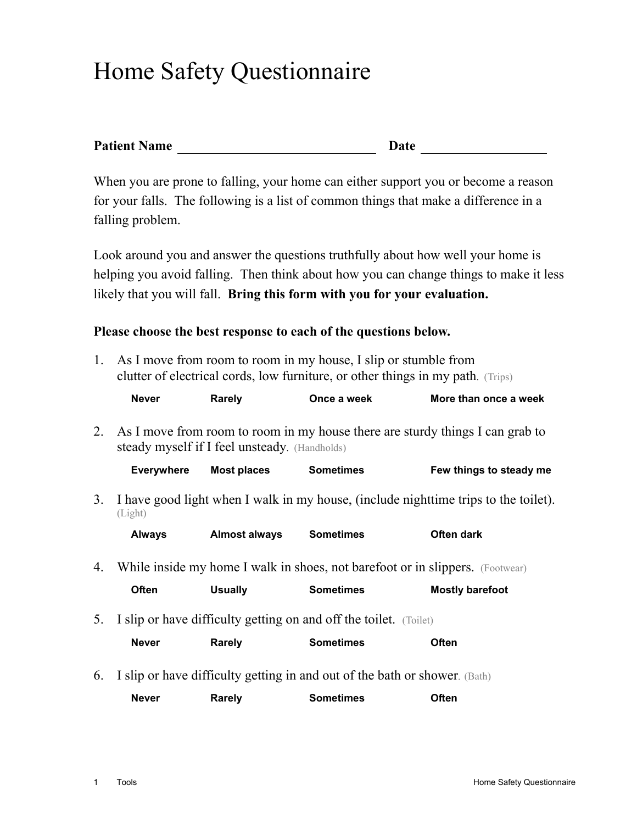## Home Safety Questionnaire

| <b>Patient Name</b> | Date |
|---------------------|------|
|---------------------|------|

When you are prone to falling, your home can either support you or become a reason for your falls. The following is a list of common things that make a difference in a falling problem.

Look around you and answer the questions truthfully about how well your home is helping you avoid falling. Then think about how you can change things to make it less likely that you will fall. **Bring this form with you for your evaluation.** 

## **Please choose the best response to each of the questions below.**

1. As I move from room to room in my house, I slip or stumble from clutter of electrical cords, low furniture, or other things in my path. (Trips)

|                                                                         | <b>Never</b>                                                               | Rarely                                        | Once a week                                                                      | More than once a week                                                                  |
|-------------------------------------------------------------------------|----------------------------------------------------------------------------|-----------------------------------------------|----------------------------------------------------------------------------------|----------------------------------------------------------------------------------------|
| 2.                                                                      |                                                                            | steady myself if I feel unsteady. (Handholds) | As I move from room to room in my house there are sturdy things I can grab to    |                                                                                        |
|                                                                         | <b>Everywhere</b>                                                          | <b>Most places Sometimes</b>                  |                                                                                  | Few things to steady me                                                                |
|                                                                         | (Light)                                                                    |                                               |                                                                                  | 3. I have good light when I walk in my house, (include nighttime trips to the toilet). |
|                                                                         | Always                                                                     | <b>Almost always Sometimes</b>                |                                                                                  | Often dark                                                                             |
|                                                                         |                                                                            |                                               | 4. While inside my home I walk in shoes, not barefoot or in slippers. (Footwear) |                                                                                        |
|                                                                         | Often                                                                      | <b>Usually</b>                                | <b>Sometimes</b>                                                                 | <b>Mostly barefoot</b>                                                                 |
| I slip or have difficulty getting on and off the toilet. (Toilet)<br>5. |                                                                            |                                               |                                                                                  |                                                                                        |
|                                                                         | <b>Never</b>                                                               | Rarely                                        | <b>Sometimes</b>                                                                 | <b>Often</b>                                                                           |
| 6.                                                                      | I slip or have difficulty getting in and out of the bath or shower. (Bath) |                                               |                                                                                  |                                                                                        |
|                                                                         | <b>Never</b>                                                               | Rarely                                        | <b>Sometimes</b>                                                                 | Often                                                                                  |